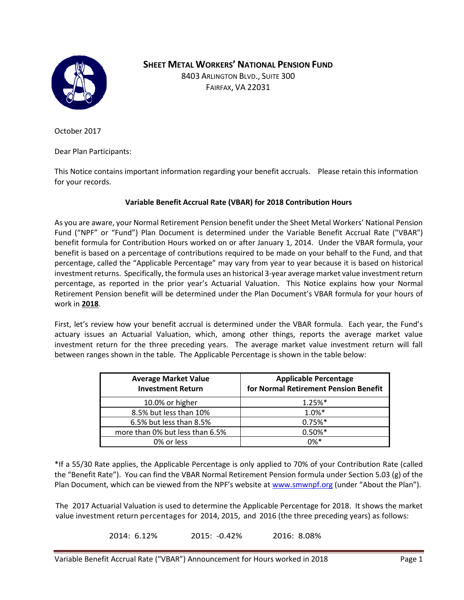

**D SHEET METAL WORKERS' NATIONAL PENSION FUND**

8403 ARLINGTON BLVD., SUITE 300 FAIRFAX, VA 22031

October 2017

Dear Plan Participants:

This Notice contains important information regarding your benefit accruals. Please retain this information for your records.

## **Variable Benefit Accrual Rate (VBAR) for 2018 Contribution Hours**

As you are aware, your Normal Retirement Pension benefit under the Sheet Metal Workers' National Pension Fund ("NPF" or "Fund") Plan Document is determined under the Variable Benefit Accrual Rate ("VBAR") benefit formula for Contribution Hours worked on or after January 1, 2014. Under the VBAR formula, your benefit is based on a percentage of contributions required to be made on your behalf to the Fund, and that percentage, called the "Applicable Percentage" may vary from year to year because it is based on historical investment returns. Specifically, the formula uses an historical 3-year average market value investment return percentage, as reported in the prior year's Actuarial Valuation. This Notice explains how your Normal Retirement Pension benefit will be determined under the Plan Document's VBAR formula for your hours of work in **2018**.

First, let's review how your benefit accrual is determined under the VBAR formula. Each year, the Fund's actuary issues an Actuarial Valuation, which, among other things, reports the average market value investment return for the three preceding years. The average market value investment return will fall between ranges shown in the table. The Applicable Percentage is shown in the table below:

| <b>Average Market Value</b><br><b>Investment Return</b> | <b>Applicable Percentage</b><br>for Normal Retirement Pension Benefit |  |  |
|---------------------------------------------------------|-----------------------------------------------------------------------|--|--|
| 10.0% or higher                                         | $1.25%$ *                                                             |  |  |
| 8.5% but less than 10%                                  | $1.0%$ *                                                              |  |  |
| 6.5% but less than 8.5%                                 | $0.75%$ *                                                             |  |  |
| more than 0% but less than 6.5%                         | $0.50\%*$                                                             |  |  |
| 0% or less                                              | $0\%*$                                                                |  |  |

\*If a 55/30 Rate applies, the Applicable Percentage is only applied to 70% of your Contribution Rate (called the "Benefit Rate"). You can find the VBAR Normal Retirement Pension formula under Section 5.03 (g) of the Plan Document, which can be viewed from the NPF's website at [www.smwnpf.org](http://www.smwnpf.org/) (under "About the Plan").

The 2017 Actuarial Valuation is used to determine the Applicable Percentage for 2018. It shows the market value investment return percentages for 2014, 2015, and 2016 (the three preceding years) as follows:

2014: 6.12% 2015: -0.42% 2016: 8.08%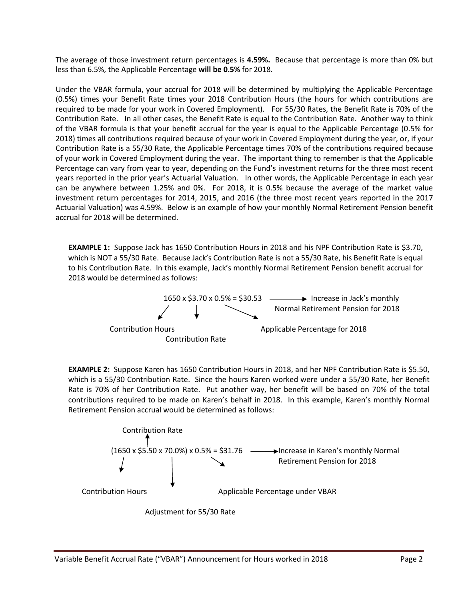The average of those investment return percentages is **4.59%.** Because that percentage is more than 0% but less than 6.5%, the Applicable Percentage **will be 0.5%** for 2018.

Under the VBAR formula, your accrual for 2018 will be determined by multiplying the Applicable Percentage (0.5%) times your Benefit Rate times your 2018 Contribution Hours (the hours for which contributions are required to be made for your work in Covered Employment). For 55/30 Rates, the Benefit Rate is 70% of the Contribution Rate. In all other cases, the Benefit Rate is equal to the Contribution Rate. Another way to think of the VBAR formula is that your benefit accrual for the year is equal to the Applicable Percentage (0.5% for 2018) times all contributions required because of your work in Covered Employment during the year, or, if your Contribution Rate is a 55/30 Rate, the Applicable Percentage times 70% of the contributions required because of your work in Covered Employment during the year. The important thing to remember is that the Applicable Percentage can vary from year to year, depending on the Fund's investment returns for the three most recent years reported in the prior year's Actuarial Valuation. In other words, the Applicable Percentage in each year can be anywhere between 1.25% and 0%. For 2018, it is 0.5% because the average of the market value investment return percentages for 2014, 2015, and 2016 (the three most recent years reported in the 2017 Actuarial Valuation) was 4.59%. Below is an example of how your monthly Normal Retirement Pension benefit accrual for 2018 will be determined.

**EXAMPLE 1:** Suppose Jack has 1650 Contribution Hours in 2018 and his NPF Contribution Rate is \$3.70, which is NOT a 55/30 Rate. Because Jack's Contribution Rate is not a 55/30 Rate, his Benefit Rate is equal to his Contribution Rate. In this example, Jack's monthly Normal Retirement Pension benefit accrual for 2018 would be determined as follows:



**EXAMPLE 2:** Suppose Karen has 1650 Contribution Hours in 2018, and her NPF Contribution Rate is \$5.50, which is a 55/30 Contribution Rate. Since the hours Karen worked were under a 55/30 Rate, her Benefit Rate is 70% of her Contribution Rate. Put another way, her benefit will be based on 70% of the total contributions required to be made on Karen's behalf in 2018. In this example, Karen's monthly Normal Retirement Pension accrual would be determined as follows: